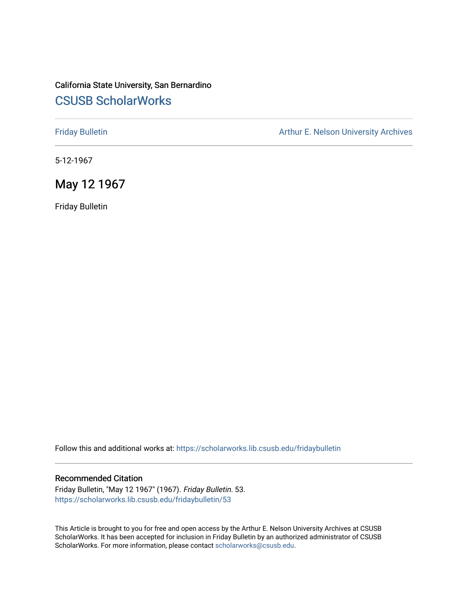## California State University, San Bernardino [CSUSB ScholarWorks](https://scholarworks.lib.csusb.edu/)

[Friday Bulletin](https://scholarworks.lib.csusb.edu/fridaybulletin) **Arthur E. Nelson University Archives** Arthur E. Nelson University Archives

5-12-1967

### May 12 1967

Friday Bulletin

Follow this and additional works at: [https://scholarworks.lib.csusb.edu/fridaybulletin](https://scholarworks.lib.csusb.edu/fridaybulletin?utm_source=scholarworks.lib.csusb.edu%2Ffridaybulletin%2F53&utm_medium=PDF&utm_campaign=PDFCoverPages)

#### Recommended Citation

Friday Bulletin, "May 12 1967" (1967). Friday Bulletin. 53. [https://scholarworks.lib.csusb.edu/fridaybulletin/53](https://scholarworks.lib.csusb.edu/fridaybulletin/53?utm_source=scholarworks.lib.csusb.edu%2Ffridaybulletin%2F53&utm_medium=PDF&utm_campaign=PDFCoverPages) 

This Article is brought to you for free and open access by the Arthur E. Nelson University Archives at CSUSB ScholarWorks. It has been accepted for inclusion in Friday Bulletin by an authorized administrator of CSUSB ScholarWorks. For more information, please contact [scholarworks@csusb.edu.](mailto:scholarworks@csusb.edu)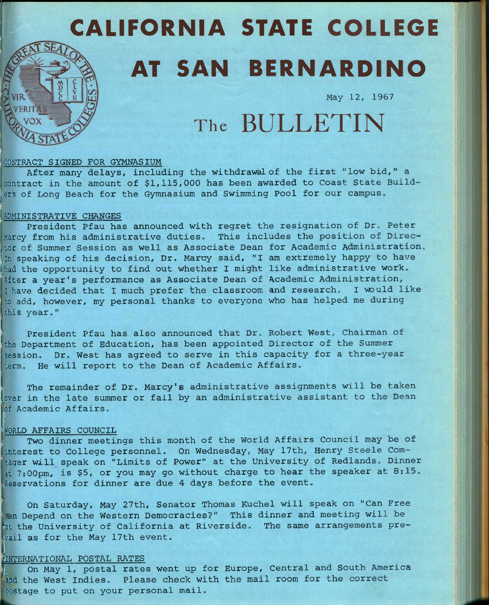# CALIFORNIA STATE COLLEOE AT SAN BERNARDINO

**May 12, 1967** 

## The BULLETIN

#### **CONTRACT SIGNED FOR GYMNASIUM**

**After many delays, including the withdrawal of the first "low bid," a**  contract in the amount of \$1,115,000 has been awarded to Coast State Builders of Long Beach for the Gymnasium and Swimming Pool for our campus.

#### **ADMINISTRATIVE CHANGES**

VERIT

**President Pfau has announced with regret the resignation of Dr, Peter Marcy from his administrative duties» This includes the position of Director of Summer Session as well as Associate Dean for Academic Administration.**  In speaking of his decision, Dr. Marcy said, "I am extremely happy to have **(had the opportunity to find out whether I might like administrative work. 'After a year's performance as Associate Dean of Academic Administration, I have decided that I much prefer the classroom and research. I would like to add, however, my personal thanks to everyone who has helped me during this year. "** 

**President Pfau has also announced that Dr. Robert West, Chairman of the Department of Education, has been appointed Director of the Summer session. Dr. West has agreed to serve in this capacity for a three-year term. He will report to the Dean of Academic Affairs.** 

**: The remainder of Dr. Marcy's administrative assignments will be taken [over in the late summer or fall by an administrative assistant to the Dean**  of Academic Affairs.

#### **!WORLD AFFAIRS COUNCIL**

**^ Two dinner meetings this month of the World Affairs Council may be of interest to College personnel. On Wednesday, May 17th, Henry Steele Commaqer will speak on "Limits of Power" at the University of Redlands. Dinner at 7:00pm, is \$5, or you may go without charge to hear the speaker at 8:15. ;Reservations for dinner are due 4 days before the event.** 

**On Saturday, May 27th, Senator Thomas Kuchel will speak on "Can Free an Depend on the Western Democracies?" This dinner and meeting will be Fk the University of California at Riverside. The same arrangements pre- [vail as for the May 17th event.** 

#### **^INTERNATIONAL POSTAL RATES**

**i** 

On May 1, postal rates went up for Europe, Central and South America **'and the West Indies. Please check with the mail room for the correct postage to put on your personal mail.**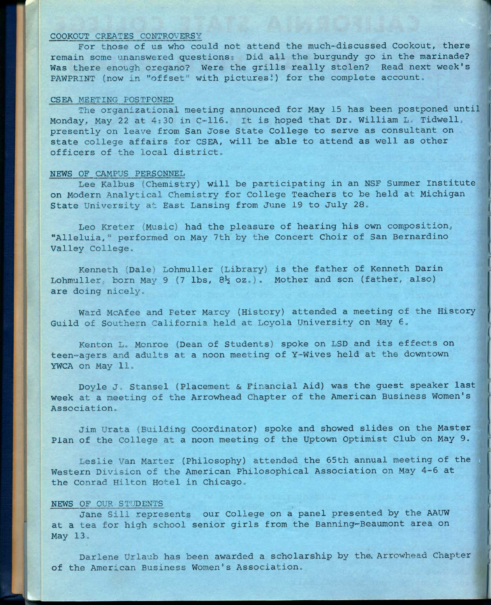#### **COOKOUT** CREATES COMTROVERSY

**For those of us who could not attend the much-discussed Cookout, there remain some unanswered questions? Did all the burgundy go in the marinade? Was there enough oregano? Were the grills really stolen? Read next week's**  PAWPRINT (now in "offset" with pictures!) for the complete account.

#### **CSEA** MEETING POSTPONED

**The organizational meeting announced for May 15 has been postponed until**  Monday, May 22 at 4:30 in C-116. It is hoped that Dr. William L. Tidwell, **presently on leave from San Jose State College to serve as consultant on state college affairs for CSEA, will be able to attend as well as other**  officers of the local district.

#### **NEWS OF CAMPUS PERSONNEL**

**Lee Kalbus (Chemistry) will be participating in an NSF Summer Institute on Modern Analytical Chemistry for College Teachers to be held at Michigan State University at East Lansing from June 19 to July 28»** 

**Leo Kreter (Music) had the pleasure of hearing his own composition, "Alleluia," performed on May 7th by the Concert Choir of San Bernardino Valley College,,** 

**Kenneth (Dale) Lohmuller (Library) is the father of Kenneth Darin**  Lohmuller, born May 9 (7 lbs, 8<sup>1</sup>/<sub>2</sub> oz.). Mother and son (father, also) are doing nicely.

**Ward McAfee and Peter Marcy (History) attended a meeting of the History**  Guild of Southern California held at Loyola University on May 6.

**Kenton Lo Monroe (Dean of Students) spoke on LSD and its effects on teen-=agers and adults at a noon meeting of Y-Wives held at the downtown YWCA on May 11»** 

Doyle J. Stansel (Placement & Financial Aid) was the guest speaker last **week at a meeting of the Arrowhead Chapter of the American Business Women's**  Association.

Jim Urata (Building Coordinator) spoke and showed slides on the Master **Plan of the College at a noon meeting of the Uptown Optimist Club on May 9.** 

Leslie Van Marter (Philosophy) attended the 65th annual meeting of the **Western Division of the American Philosophical Association on May 4-6 at**  the Conrad Hilton Hotel in Chicago.

#### **NEWS OF** OUR ST'ODENTS

**Jane Sill represents our College on a panel presented by the AAUW at a tea for high school senior girls from the Banning'-Beaumont area on**  May 13.

**Darlene Urlaub has been awarded a scholarship by the. Arrowhead Chapter**  of the American Business Women's Association.